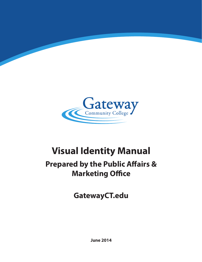

# **Visual Identity Manual**

## **Prepared by the Public Affairs & Marketing Office**

**GatewayCT.edu**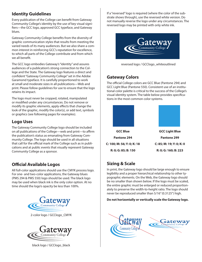#### **Identity Guidelines**

Every publication of the College can benefit from Gateway Community College's identity by the use of key visual signifiers—the GCC logo, approved GCC typeface, and Gateway blues.

Gateway Community College benefits from the diversity of graphic communication styles that results from meeting the varied needs of its many audiences. But we also share a common interest in reinforcing GCC's reputation for excellence, to which all parts of the College contribute and from which we all benefit.

The GCC logo embodies Gateway's "identity" and assures audiences of a publication's strong connection to the College and the State. The Gateway logo features a direct and confident "Gateway Community College" set in the Adobe Garamond typeface. It is carefully proportioned to work at small and moderate sizes in all publications—Web and print. Please follow guidelines for use to ensure that the logo retains its impact.

The logo must never be cropped, rotated, manipulated or modified under any circumstances. Do not remove or modify its graphic elements, apply effects that change the look of the graphic, modify the color(s), or add text, symbols or graphics (see following pages for examples).

#### **Logo Uses**

The Gateway Community College logo should be included on all publications of the College—web and print—to affirm the publication's status as emanating from Gateway Community College. The logo should be used in all situations that call for the official mark of the College such as in publications and at public events that visually represent Gateway Community College as a sponsor.

### **Official Available Logos**

All full-color applications should use the CMYK process logo. For one- and two-color applications, the Gateway blues (PMS 294 & PMS 550) logo should be used. The black logo may be used when black ink is the only color option. At no time should the logo's opacity be less than 100%.



2-color logo / GCClogo\_CMYK



black logo / GCClogo\_black

If a "reversed" logo is required (where the color of the substrate shows through), use the reversed white version. Do not manually reverse the logo under any circumstances. The reversed logo may be printed with only white ink.



reversed logo / GCClogo\_whiteoutlined

#### **Gateway Colors**

The official College colors are GCC Blue (Pantone 294) and GCC Light Blue (Pantone 550). Consistent use of an institutional color palette is critical to the success of the College's visual identity system. The table below provides specifications in the most common color systems.



### **Sizing & Scale**

In print, the Gateway logo should be large enough to ensure legibility and a proper hierarchical relationship to other typographic elements. On the Web, the Gateway logo should be no smaller than shown below. If the logo must be scaled, the entire graphic must be enlarged or reduced proportionately to preserve the width-to-height ratio. The logo should never be reproduced smaller than 5/16" (0.3125") high.

#### **Do not horizontally or vertically scale the Gateway logo.**

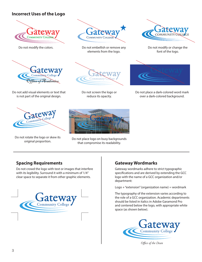#### **Incorrect Uses of the Logo**



Do not modify the colors.



Do not add visual elements or text that is not part of the original design.



Do not rotate the logo or skew its



Do not embellish or remove any elements from the logo.



Do not screen the logo or reduce its opacity.



rotate the logo or skew its<br>original proportion. That compromise its readability that compromise its readability.



Do not modify or change the font of the logo.



Do not place a dark-colored word mark over a dark-colored background.

#### **Spacing Requirements**

Do not crowd the logo with text or images that interfere with its legibility. Surround it with a minimum of 1/4" clear space to separate it from other graphic elements.



#### **Gateway Wordmarks**

Gateway wordmarks adhere to strict typographic specifications and are derived by extending the GCC logo with the name of a GCC organization and/or department:

Logo + "extension" (organization name) = wordmark

The typography of the extension varies according to the role of a GCC organization. Academic departments should be listed in italics in Adobe Garamond Pro and centered below the logo, with appropriate white space (as shown below).



*Office of the Dean*